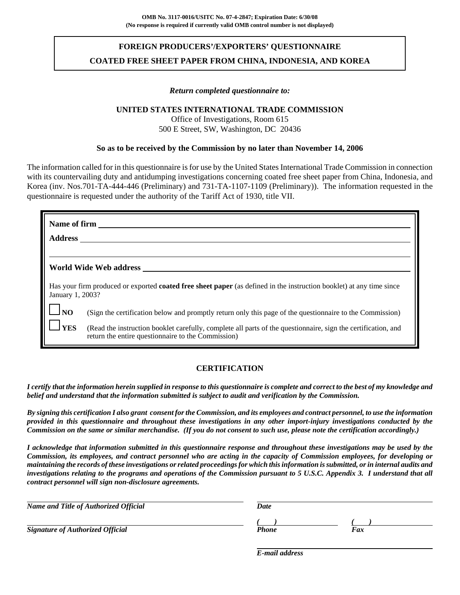# **FOREIGN PRODUCERS'/EXPORTERS' QUESTIONNAIRE COATED FREE SHEET PAPER FROM CHINA, INDONESIA, AND KOREA**

#### *Return completed questionnaire to:*

#### **UNITED STATES INTERNATIONAL TRADE COMMISSION**

Office of Investigations, Room 615 500 E Street, SW, Washington, DC 20436

#### **So as to be received by the Commission by no later than November 14, 2006**

The information called for in this questionnaire is for use by the United States International Trade Commission in connection with its countervailing duty and antidumping investigations concerning coated free sheet paper from China, Indonesia, and Korea (inv. Nos.701-TA-444-446 (Preliminary) and 731-TA-1107-1109 (Preliminary)). The information requested in the questionnaire is requested under the authority of the Tariff Act of 1930, title VII.

| <b>Address</b>   | <b>Name of firm</b>                                                                                                                                                 |
|------------------|---------------------------------------------------------------------------------------------------------------------------------------------------------------------|
|                  | World Wide Web address                                                                                                                                              |
| January 1, 2003? | Has your firm produced or exported <b>coated free sheet paper</b> (as defined in the instruction booklet) at any time since                                         |
| $\Box$ NO        | (Sign the certification below and promptly return only this page of the questionnaire to the Commission)                                                            |
| <b>YES</b>       | (Read the instruction booklet carefully, complete all parts of the questionnaire, sign the certification, and<br>return the entire questionnaire to the Commission) |

#### **CERTIFICATION**

*I certify that the information herein supplied in response to this questionnaire is complete and correct to the best of my knowledge and belief and understand that the information submitted is subject to audit and verification by the Commission.*

*By signing this certification I also grant consent for the Commission, and its employees and contract personnel, to use the information provided in this questionnaire and throughout these investigations in any other import-injury investigations conducted by the Commission on the same or similar merchandise. (If you do not consent to such use, please note the certification accordingly.)*

*I acknowledge that information submitted in this questionnaire response and throughout these investigations may be used by the Commission, its employees, and contract personnel who are acting in the capacity of Commission employees, for developing or maintaining the records of these investigations or related proceedings for which this information is submitted, or in internal audits and investigations relating to the programs and operations of the Commission pursuant to 5 U.S.C. Appendix 3. I understand that all contract personnel will sign non-disclosure agreements.*

| Name and Title of Authorized Official   | Date  |     |
|-----------------------------------------|-------|-----|
| <b>Signature of Authorized Official</b> | Phone | Fax |

*E-mail address*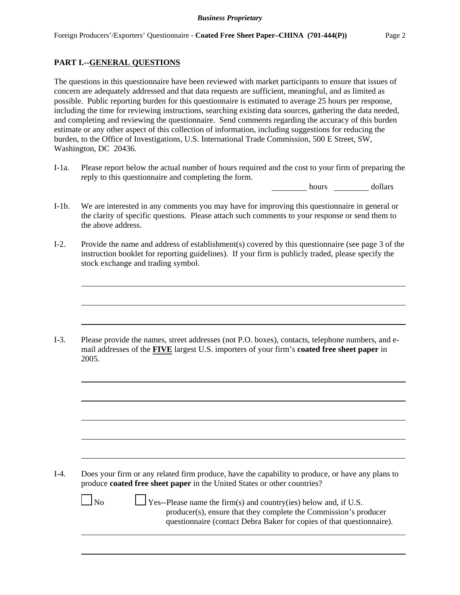### **PART I.--GENERAL QUESTIONS**

The questions in this questionnaire have been reviewed with market participants to ensure that issues of concern are adequately addressed and that data requests are sufficient, meaningful, and as limited as possible. Public reporting burden for this questionnaire is estimated to average 25 hours per response, including the time for reviewing instructions, searching existing data sources, gathering the data needed, and completing and reviewing the questionnaire. Send comments regarding the accuracy of this burden estimate or any other aspect of this collection of information, including suggestions for reducing the burden, to the Office of Investigations, U.S. International Trade Commission, 500 E Street, SW, Washington, DC 20436.

I-1a. Please report below the actual number of hours required and the cost to your firm of preparing the reply to this questionnaire and completing the form.

hours dollars

- I-1b. We are interested in any comments you may have for improving this questionnaire in general or the clarity of specific questions. Please attach such comments to your response or send them to the above address.
- I-2. Provide the name and address of establishment(s) covered by this questionnaire (see page 3 of the instruction booklet for reporting guidelines). If your firm is publicly traded, please specify the stock exchange and trading symbol.

I-3. Please provide the names, street addresses (not P.O. boxes), contacts, telephone numbers, and email addresses of the **FIVE** largest U.S. importers of your firm's **coated free sheet paper** in 2005.

I-4. Does your firm or any related firm produce, have the capability to produce, or have any plans to produce **coated free sheet paper** in the United States or other countries?

 $\Box$  No  $\Box$  Yes--Please name the firm(s) and country(ies) below and, if U.S. producer(s), ensure that they complete the Commission's producer questionnaire (contact Debra Baker for copies of that questionnaire).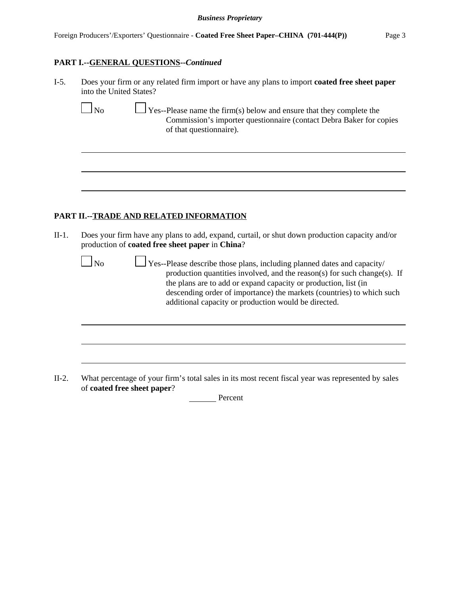#### **PART I.--GENERAL QUESTIONS--***Continued*

| $I-5.$ | Does your firm or any related firm import or have any plans to import <b>coated free sheet paper</b> |
|--------|------------------------------------------------------------------------------------------------------|
|        | into the United States?                                                                              |

 $\Box$  No  $\Box$  Yes--Please name the firm(s) below and ensure that they complete the Commission's importer questionnaire (contact Debra Baker for copies of that questionnaire).

#### **PART II.--TRADE AND RELATED INFORMATION**

II-1. Does your firm have any plans to add, expand, curtail, or shut down production capacity and/or production of **coated free sheet paper** in **China**?

 $\Box$  No  $\Box$  Yes--Please describe those plans, including planned dates and capacity/ production quantities involved, and the reason(s) for such change(s). If the plans are to add or expand capacity or production, list (in descending order of importance) the markets (countries) to which such additional capacity or production would be directed.

II-2. What percentage of your firm's total sales in its most recent fiscal year was represented by sales of **coated free sheet paper**?

Percent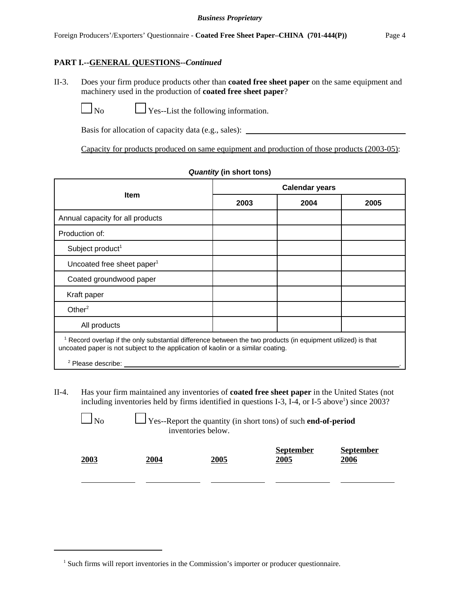II-3. Does your firm produce products other than **coated free sheet paper** on the same equipment and machinery used in the production of **coated free sheet paper**?

 $\Box$  No  $\Box$  Yes--List the following information.

Basis for allocation of capacity data (e.g., sales):

Capacity for products produced on same equipment and production of those products (2003-05):

|                                                                                                                                                                                                             | <b>Calendar years</b> |      |      |  |  |
|-------------------------------------------------------------------------------------------------------------------------------------------------------------------------------------------------------------|-----------------------|------|------|--|--|
| <b>Item</b>                                                                                                                                                                                                 | 2003                  | 2004 | 2005 |  |  |
| Annual capacity for all products                                                                                                                                                                            |                       |      |      |  |  |
| Production of:                                                                                                                                                                                              |                       |      |      |  |  |
| Subject product <sup>1</sup>                                                                                                                                                                                |                       |      |      |  |  |
| Uncoated free sheet paper <sup>1</sup>                                                                                                                                                                      |                       |      |      |  |  |
| Coated groundwood paper                                                                                                                                                                                     |                       |      |      |  |  |
| Kraft paper                                                                                                                                                                                                 |                       |      |      |  |  |
| Other $^2$                                                                                                                                                                                                  |                       |      |      |  |  |
| All products                                                                                                                                                                                                |                       |      |      |  |  |
| <sup>1</sup> Record overlap if the only substantial difference between the two products (in equipment utilized) is that<br>uncoated paper is not subject to the application of kaolin or a similar coating. |                       |      |      |  |  |
| <sup>2</sup> Please describe:                                                                                                                                                                               |                       |      |      |  |  |

#### *Quantity* **(in short tons)**

II-4. Has your firm maintained any inventories of **coated free sheet paper** in the United States (not including inventories held by firms identified in questions I-3, I-4, or I-5 above<sup>1</sup>) since  $2003$ ?

| $\Box$ No | $\Box$ Yes--Report the quantity (in short tons) of such <b>end-of-period</b><br>inventories below. |      |                          |                          |  |  |  |
|-----------|----------------------------------------------------------------------------------------------------|------|--------------------------|--------------------------|--|--|--|
| 2003      | 2004                                                                                               | 2005 | <b>September</b><br>2005 | <b>September</b><br>2006 |  |  |  |

<sup>&</sup>lt;sup>1</sup> Such firms will report inventories in the Commission's importer or producer questionnaire.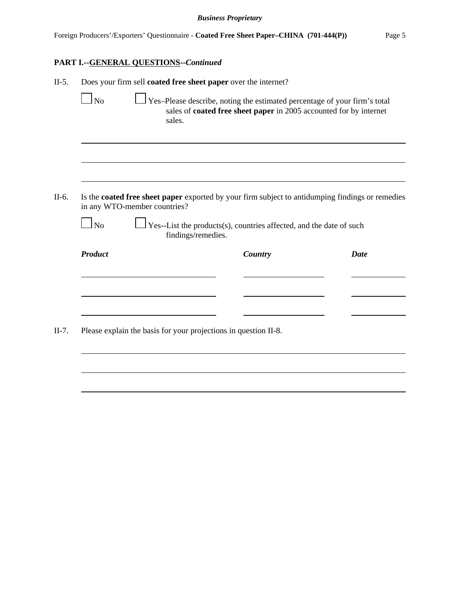# **PART I.--GENERAL QUESTIONS--***Continued*

| $\ln$          | Does your firm sell coated free sheet paper over the internet?<br>Yes-Please describe, noting the estimated percentage of your firm's total |                                                                                                         |             |  |  |  |
|----------------|---------------------------------------------------------------------------------------------------------------------------------------------|---------------------------------------------------------------------------------------------------------|-------------|--|--|--|
|                | sales.                                                                                                                                      | sales of coated free sheet paper in 2005 accounted for by internet                                      |             |  |  |  |
|                |                                                                                                                                             |                                                                                                         |             |  |  |  |
|                | in any WTO-member countries?                                                                                                                | Is the <b>coated free sheet paper</b> exported by your firm subject to antidumping findings or remedies |             |  |  |  |
| <b>No</b>      | findings/remedies.                                                                                                                          | Yes--List the products(s), countries affected, and the date of such                                     |             |  |  |  |
| <b>Product</b> |                                                                                                                                             | Country                                                                                                 | <b>Date</b> |  |  |  |
|                |                                                                                                                                             |                                                                                                         |             |  |  |  |
|                |                                                                                                                                             |                                                                                                         |             |  |  |  |
|                |                                                                                                                                             |                                                                                                         |             |  |  |  |
|                | Please explain the basis for your projections in question II-8.                                                                             |                                                                                                         |             |  |  |  |